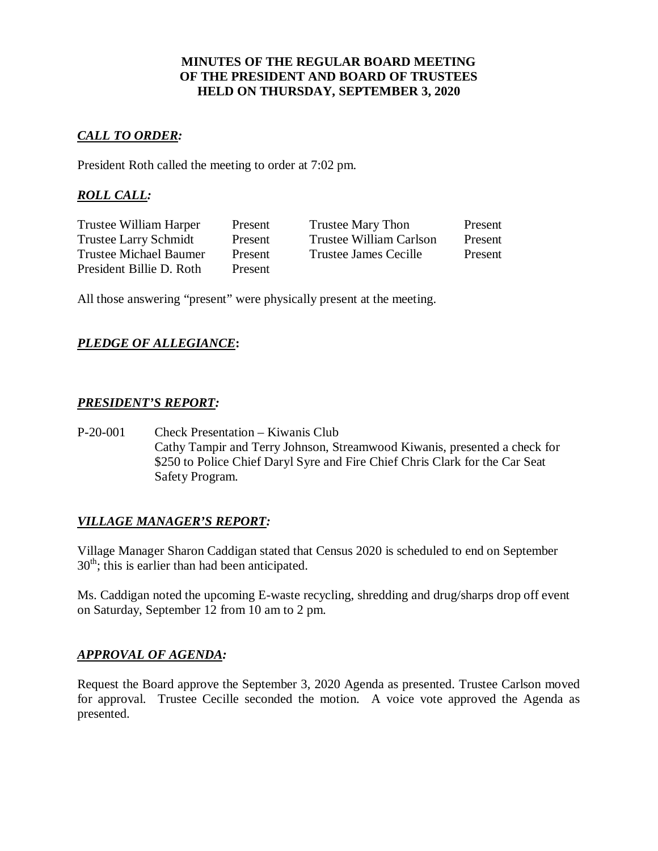#### **MINUTES OF THE REGULAR BOARD MEETING OF THE PRESIDENT AND BOARD OF TRUSTEES HELD ON THURSDAY, SEPTEMBER 3, 2020**

# *CALL TO ORDER:*

President Roth called the meeting to order at 7:02 pm.

# *ROLL CALL:*

| Trustee William Harper        | Present        | Trustee Mary Thon       | Present |
|-------------------------------|----------------|-------------------------|---------|
| <b>Trustee Larry Schmidt</b>  | Present        | Trustee William Carlson | Present |
| <b>Trustee Michael Baumer</b> | Present        | Trustee James Cecille   | Present |
| President Billie D. Roth      | <b>Present</b> |                         |         |

All those answering "present" were physically present at the meeting.

# *PLEDGE OF ALLEGIANCE***:**

## *PRESIDENT'S REPORT:*

P-20-001 Check Presentation – Kiwanis Club Cathy Tampir and Terry Johnson, Streamwood Kiwanis, presented a check for \$250 to Police Chief Daryl Syre and Fire Chief Chris Clark for the Car Seat Safety Program.

## *VILLAGE MANAGER'S REPORT:*

Village Manager Sharon Caddigan stated that Census 2020 is scheduled to end on September  $30<sup>th</sup>$ ; this is earlier than had been anticipated.

Ms. Caddigan noted the upcoming E-waste recycling, shredding and drug/sharps drop off event on Saturday, September 12 from 10 am to 2 pm.

## *APPROVAL OF AGENDA:*

Request the Board approve the September 3, 2020 Agenda as presented. Trustee Carlson moved for approval. Trustee Cecille seconded the motion. A voice vote approved the Agenda as presented.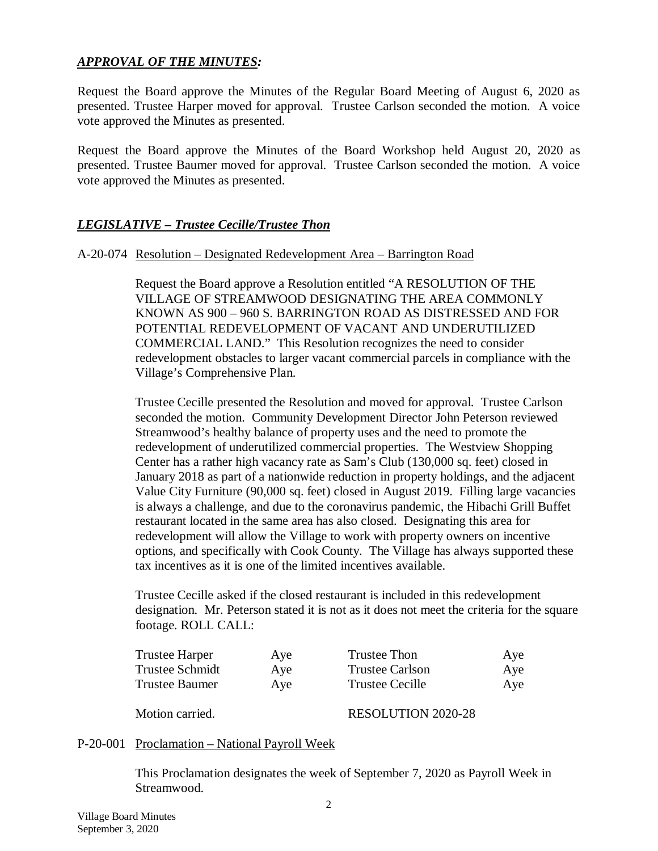# *APPROVAL OF THE MINUTES:*

Request the Board approve the Minutes of the Regular Board Meeting of August 6, 2020 as presented. Trustee Harper moved for approval. Trustee Carlson seconded the motion. A voice vote approved the Minutes as presented.

Request the Board approve the Minutes of the Board Workshop held August 20, 2020 as presented. Trustee Baumer moved for approval. Trustee Carlson seconded the motion. A voice vote approved the Minutes as presented.

## *LEGISLATIVE – Trustee Cecille/Trustee Thon*

#### A-20-074 Resolution – Designated Redevelopment Area – Barrington Road

Request the Board approve a Resolution entitled "A RESOLUTION OF THE VILLAGE OF STREAMWOOD DESIGNATING THE AREA COMMONLY KNOWN AS 900 – 960 S. BARRINGTON ROAD AS DISTRESSED AND FOR POTENTIAL REDEVELOPMENT OF VACANT AND UNDERUTILIZED COMMERCIAL LAND." This Resolution recognizes the need to consider redevelopment obstacles to larger vacant commercial parcels in compliance with the Village's Comprehensive Plan.

Trustee Cecille presented the Resolution and moved for approval. Trustee Carlson seconded the motion. Community Development Director John Peterson reviewed Streamwood's healthy balance of property uses and the need to promote the redevelopment of underutilized commercial properties. The Westview Shopping Center has a rather high vacancy rate as Sam's Club (130,000 sq. feet) closed in January 2018 as part of a nationwide reduction in property holdings, and the adjacent Value City Furniture (90,000 sq. feet) closed in August 2019. Filling large vacancies is always a challenge, and due to the coronavirus pandemic, the Hibachi Grill Buffet restaurant located in the same area has also closed. Designating this area for redevelopment will allow the Village to work with property owners on incentive options, and specifically with Cook County. The Village has always supported these tax incentives as it is one of the limited incentives available.

Trustee Cecille asked if the closed restaurant is included in this redevelopment designation. Mr. Peterson stated it is not as it does not meet the criteria for the square footage. ROLL CALL:

| Trustee Harper        | Aye | Trustee Thon              | Aye |
|-----------------------|-----|---------------------------|-----|
| Trustee Schmidt       | Aye | Trustee Carlson           | Aye |
| <b>Trustee Baumer</b> | Aye | <b>Trustee Cecille</b>    | Aye |
| Motion carried.       |     | <b>RESOLUTION 2020-28</b> |     |

# P-20-001 Proclamation – National Payroll Week

This Proclamation designates the week of September 7, 2020 as Payroll Week in Streamwood.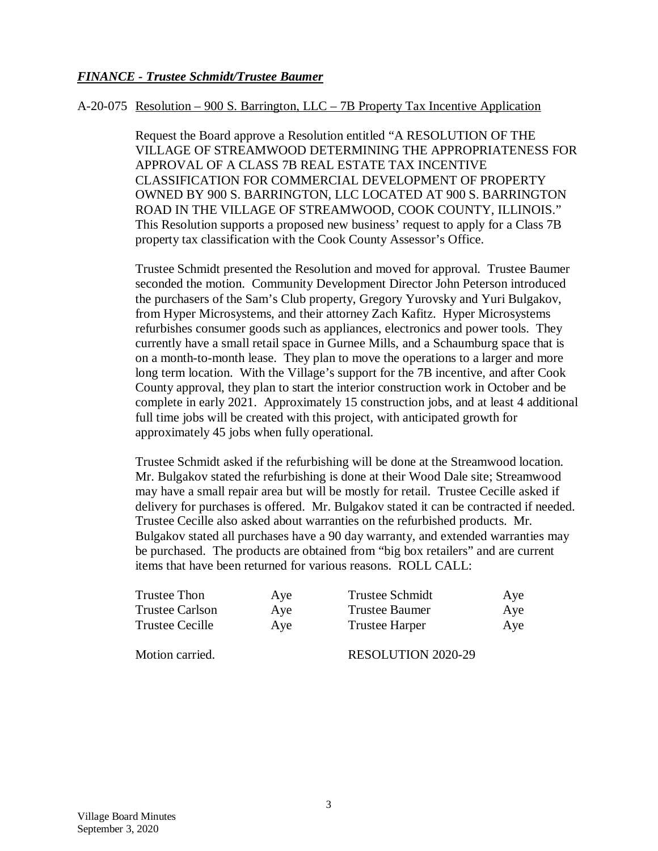## *FINANCE - Trustee Schmidt/Trustee Baumer*

#### A-20-075 Resolution – 900 S. Barrington, LLC – 7B Property Tax Incentive Application

Request the Board approve a Resolution entitled "A RESOLUTION OF THE VILLAGE OF STREAMWOOD DETERMINING THE APPROPRIATENESS FOR APPROVAL OF A CLASS 7B REAL ESTATE TAX INCENTIVE CLASSIFICATION FOR COMMERCIAL DEVELOPMENT OF PROPERTY OWNED BY 900 S. BARRINGTON, LLC LOCATED AT 900 S. BARRINGTON ROAD IN THE VILLAGE OF STREAMWOOD, COOK COUNTY, ILLINOIS." This Resolution supports a proposed new business' request to apply for a Class 7B property tax classification with the Cook County Assessor's Office.

Trustee Schmidt presented the Resolution and moved for approval. Trustee Baumer seconded the motion. Community Development Director John Peterson introduced the purchasers of the Sam's Club property, Gregory Yurovsky and Yuri Bulgakov, from Hyper Microsystems, and their attorney Zach Kafitz. Hyper Microsystems refurbishes consumer goods such as appliances, electronics and power tools. They currently have a small retail space in Gurnee Mills, and a Schaumburg space that is on a month-to-month lease. They plan to move the operations to a larger and more long term location. With the Village's support for the 7B incentive, and after Cook County approval, they plan to start the interior construction work in October and be complete in early 2021. Approximately 15 construction jobs, and at least 4 additional full time jobs will be created with this project, with anticipated growth for approximately 45 jobs when fully operational.

Trustee Schmidt asked if the refurbishing will be done at the Streamwood location. Mr. Bulgakov stated the refurbishing is done at their Wood Dale site; Streamwood may have a small repair area but will be mostly for retail. Trustee Cecille asked if delivery for purchases is offered. Mr. Bulgakov stated it can be contracted if needed. Trustee Cecille also asked about warranties on the refurbished products. Mr. Bulgakov stated all purchases have a 90 day warranty, and extended warranties may be purchased. The products are obtained from "big box retailers" and are current items that have been returned for various reasons. ROLL CALL:

| Trustee Thon           | Aye | <b>Trustee Schmidt</b>    | Aye |
|------------------------|-----|---------------------------|-----|
| <b>Trustee Carlson</b> | Aye | <b>Trustee Baumer</b>     | Aye |
| Trustee Cecille        | Ave | <b>Trustee Harper</b>     | Aye |
| Motion carried.        |     | <b>RESOLUTION 2020-29</b> |     |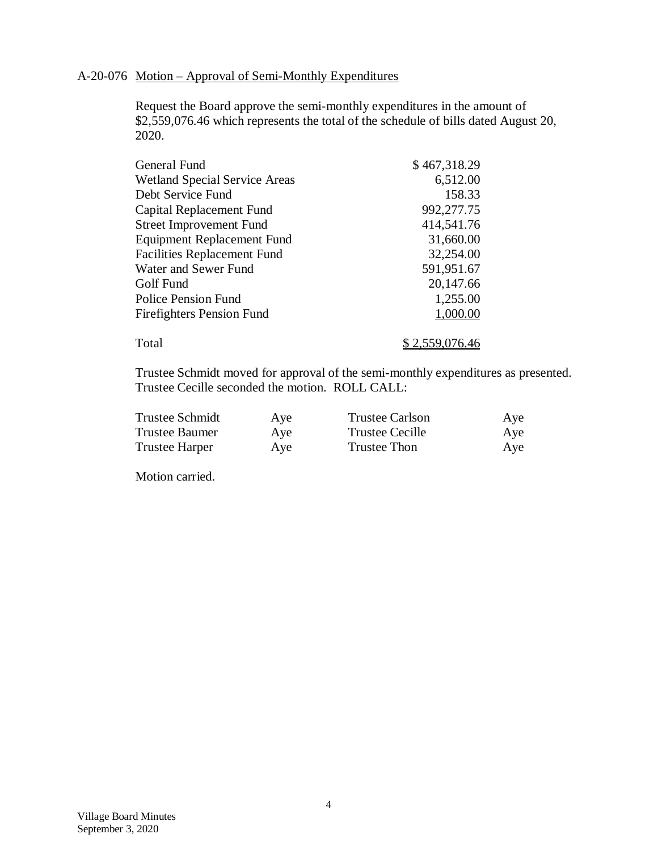### A-20-076 Motion – Approval of Semi-Monthly Expenditures

Request the Board approve the semi-monthly expenditures in the amount of \$2,559,076.46 which represents the total of the schedule of bills dated August 20, 2020.

| General Fund                         | \$467,318.29   |
|--------------------------------------|----------------|
| <b>Wetland Special Service Areas</b> | 6,512.00       |
| Debt Service Fund                    | 158.33         |
| Capital Replacement Fund             | 992,277.75     |
| <b>Street Improvement Fund</b>       | 414,541.76     |
| <b>Equipment Replacement Fund</b>    | 31,660.00      |
| <b>Facilities Replacement Fund</b>   | 32,254.00      |
| Water and Sewer Fund                 | 591,951.67     |
| Golf Fund                            | 20,147.66      |
| <b>Police Pension Fund</b>           | 1,255.00       |
| Firefighters Pension Fund            | 1,000.00       |
| Total                                | \$2,559,076.46 |

Trustee Schmidt moved for approval of the semi-monthly expenditures as presented. Trustee Cecille seconded the motion. ROLL CALL:

| <b>Trustee Schmidt</b> | Aye | <b>Trustee Carlson</b> | Aye |
|------------------------|-----|------------------------|-----|
| <b>Trustee Baumer</b>  | Aye | <b>Trustee Cecille</b> | Aye |
| <b>Trustee Harper</b>  | Aye | <b>Trustee Thon</b>    | Aye |

Motion carried.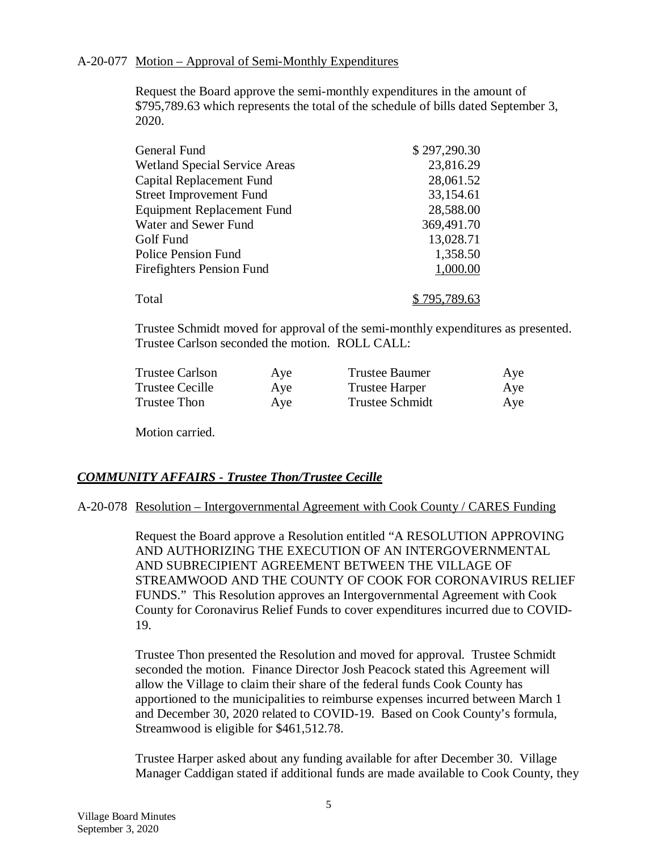#### A-20-077 Motion – Approval of Semi-Monthly Expenditures

Request the Board approve the semi-monthly expenditures in the amount of \$795,789.63 which represents the total of the schedule of bills dated September 3, 2020.

| General Fund                         | \$297,290.30 |
|--------------------------------------|--------------|
| <b>Wetland Special Service Areas</b> | 23,816.29    |
| Capital Replacement Fund             | 28,061.52    |
| <b>Street Improvement Fund</b>       | 33,154.61    |
| <b>Equipment Replacement Fund</b>    | 28,588.00    |
| Water and Sewer Fund                 | 369,491.70   |
| Golf Fund                            | 13,028.71    |
| <b>Police Pension Fund</b>           | 1,358.50     |
| <b>Firefighters Pension Fund</b>     | 1,000.00     |
|                                      |              |
| Total                                | \$795,789.63 |

Trustee Schmidt moved for approval of the semi-monthly expenditures as presented. Trustee Carlson seconded the motion. ROLL CALL:

| <b>Trustee Carlson</b> | Aye | <b>Trustee Baumer</b>  | Aye |
|------------------------|-----|------------------------|-----|
| <b>Trustee Cecille</b> | Aye | <b>Trustee Harper</b>  | Aye |
| Trustee Thon           | Aye | <b>Trustee Schmidt</b> | Aye |

Motion carried.

## *COMMUNITY AFFAIRS - Trustee Thon/Trustee Cecille*

#### A-20-078 Resolution – Intergovernmental Agreement with Cook County / CARES Funding

Request the Board approve a Resolution entitled "A RESOLUTION APPROVING AND AUTHORIZING THE EXECUTION OF AN INTERGOVERNMENTAL AND SUBRECIPIENT AGREEMENT BETWEEN THE VILLAGE OF STREAMWOOD AND THE COUNTY OF COOK FOR CORONAVIRUS RELIEF FUNDS." This Resolution approves an Intergovernmental Agreement with Cook County for Coronavirus Relief Funds to cover expenditures incurred due to COVID-19.

Trustee Thon presented the Resolution and moved for approval. Trustee Schmidt seconded the motion. Finance Director Josh Peacock stated this Agreement will allow the Village to claim their share of the federal funds Cook County has apportioned to the municipalities to reimburse expenses incurred between March 1 and December 30, 2020 related to COVID-19. Based on Cook County's formula, Streamwood is eligible for \$461,512.78.

Trustee Harper asked about any funding available for after December 30. Village Manager Caddigan stated if additional funds are made available to Cook County, they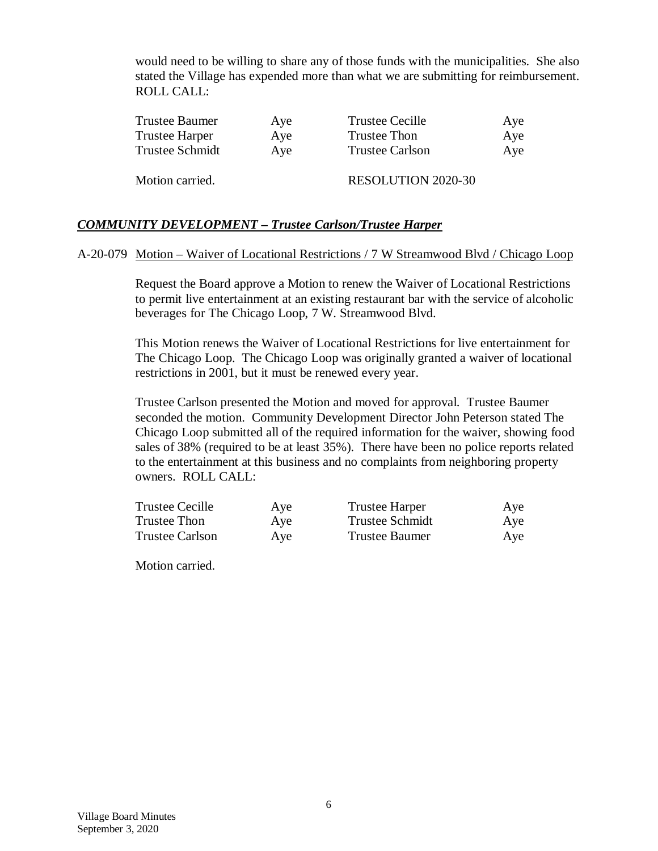would need to be willing to share any of those funds with the municipalities. She also stated the Village has expended more than what we are submitting for reimbursement. ROLL CALL:

| Trustee Baumer  | Aye | <b>Trustee Cecille</b>    | Aye |
|-----------------|-----|---------------------------|-----|
| Trustee Harper  | Aye | <b>Trustee Thon</b>       | Aye |
| Trustee Schmidt | Aye | <b>Trustee Carlson</b>    | Aye |
| Motion carried. |     | <b>RESOLUTION 2020-30</b> |     |

## *COMMUNITY DEVELOPMENT – Trustee Carlson/Trustee Harper*

#### A-20-079 Motion – Waiver of Locational Restrictions / 7 W Streamwood Blvd / Chicago Loop

Request the Board approve a Motion to renew the Waiver of Locational Restrictions to permit live entertainment at an existing restaurant bar with the service of alcoholic beverages for The Chicago Loop, 7 W. Streamwood Blvd.

This Motion renews the Waiver of Locational Restrictions for live entertainment for The Chicago Loop. The Chicago Loop was originally granted a waiver of locational restrictions in 2001, but it must be renewed every year.

Trustee Carlson presented the Motion and moved for approval. Trustee Baumer seconded the motion. Community Development Director John Peterson stated The Chicago Loop submitted all of the required information for the waiver, showing food sales of 38% (required to be at least 35%). There have been no police reports related to the entertainment at this business and no complaints from neighboring property owners. ROLL CALL:

| <b>Trustee Cecille</b> | Aye | <b>Trustee Harper</b>  | Aye |
|------------------------|-----|------------------------|-----|
| Trustee Thon           | Aye | <b>Trustee Schmidt</b> | Aye |
| <b>Trustee Carlson</b> | Aye | Trustee Baumer         | Aye |

Motion carried.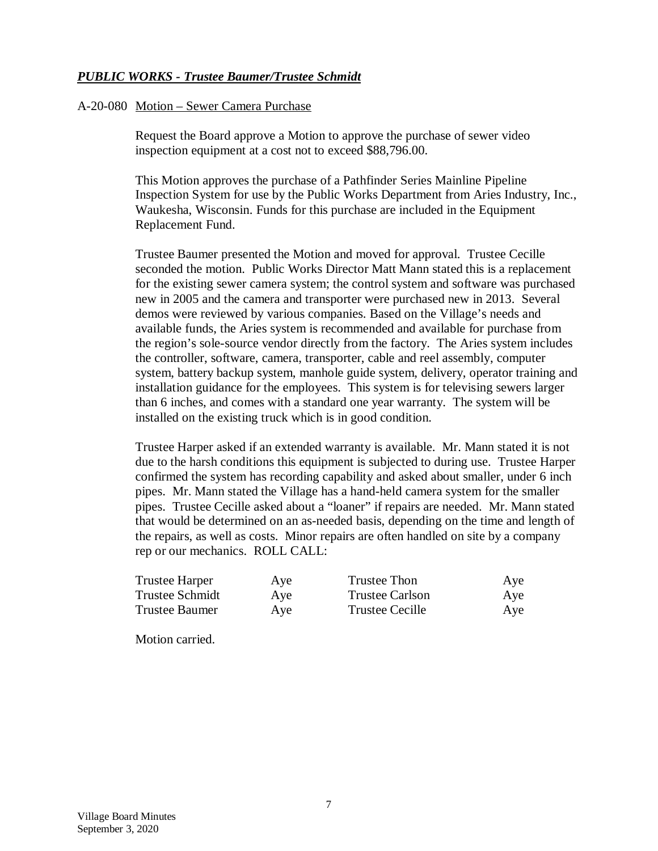## *PUBLIC WORKS - Trustee Baumer/Trustee Schmidt*

#### A-20-080 Motion – Sewer Camera Purchase

Request the Board approve a Motion to approve the purchase of sewer video inspection equipment at a cost not to exceed \$88,796.00.

This Motion approves the purchase of a Pathfinder Series Mainline Pipeline Inspection System for use by the Public Works Department from Aries Industry, Inc., Waukesha, Wisconsin. Funds for this purchase are included in the Equipment Replacement Fund.

Trustee Baumer presented the Motion and moved for approval. Trustee Cecille seconded the motion. Public Works Director Matt Mann stated this is a replacement for the existing sewer camera system; the control system and software was purchased new in 2005 and the camera and transporter were purchased new in 2013. Several demos were reviewed by various companies. Based on the Village's needs and available funds, the Aries system is recommended and available for purchase from the region's sole-source vendor directly from the factory. The Aries system includes the controller, software, camera, transporter, cable and reel assembly, computer system, battery backup system, manhole guide system, delivery, operator training and installation guidance for the employees. This system is for televising sewers larger than 6 inches, and comes with a standard one year warranty. The system will be installed on the existing truck which is in good condition.

Trustee Harper asked if an extended warranty is available. Mr. Mann stated it is not due to the harsh conditions this equipment is subjected to during use. Trustee Harper confirmed the system has recording capability and asked about smaller, under 6 inch pipes. Mr. Mann stated the Village has a hand-held camera system for the smaller pipes. Trustee Cecille asked about a "loaner" if repairs are needed. Mr. Mann stated that would be determined on an as-needed basis, depending on the time and length of the repairs, as well as costs. Minor repairs are often handled on site by a company rep or our mechanics. ROLL CALL:

| Trustee Harper  | Aye | Trustee Thon           | Aye |
|-----------------|-----|------------------------|-----|
| Trustee Schmidt | Aye | <b>Trustee Carlson</b> | Aye |
| Trustee Baumer  | Aye | Trustee Cecille        | Aye |

Motion carried.